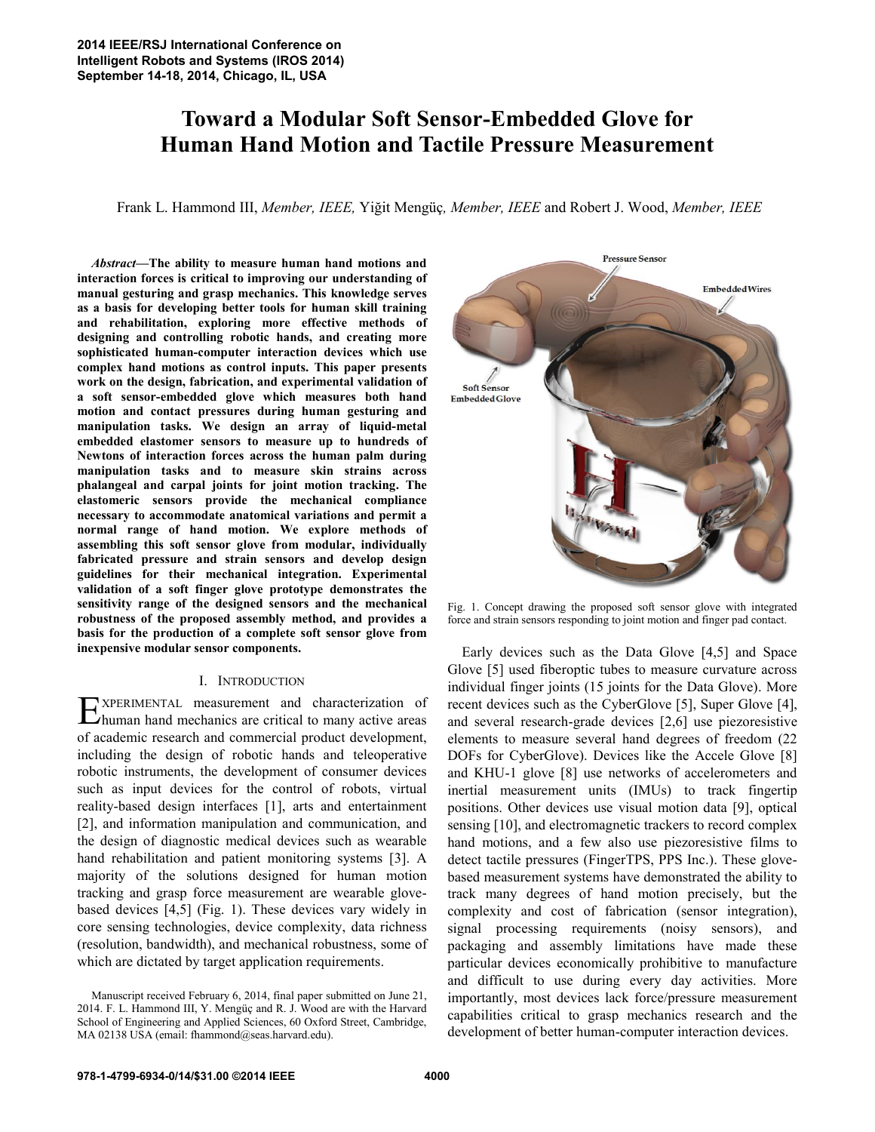# **Toward a Modular Soft Sensor-Embedded Glove for Human Hand Motion and Tactile Pressure Measurement**

Frank L. Hammond III, *Member, IEEE,* Yiğit Mengüç*, Member, IEEE* and Robert J. Wood, *Member, IEEE*

*Abstract***—The ability to measure human hand motions and interaction forces is critical to improving our understanding of manual gesturing and grasp mechanics. This knowledge serves as a basis for developing better tools for human skill training and rehabilitation, exploring more effective methods of designing and controlling robotic hands, and creating more sophisticated human-computer interaction devices which use complex hand motions as control inputs. This paper presents work on the design, fabrication, and experimental validation of a soft sensor-embedded glove which measures both hand motion and contact pressures during human gesturing and manipulation tasks. We design an array of liquid-metal embedded elastomer sensors to measure up to hundreds of Newtons of interaction forces across the human palm during manipulation tasks and to measure skin strains across phalangeal and carpal joints for joint motion tracking. The elastomeric sensors provide the mechanical compliance necessary to accommodate anatomical variations and permit a normal range of hand motion. We explore methods of assembling this soft sensor glove from modular, individually fabricated pressure and strain sensors and develop design guidelines for their mechanical integration. Experimental validation of a soft finger glove prototype demonstrates the sensitivity range of the designed sensors and the mechanical robustness of the proposed assembly method, and provides a basis for the production of a complete soft sensor glove from inexpensive modular sensor components.**

#### I. INTRODUCTION

XPERIMENTAL measurement and characterization of EXPERIMENTAL measurement and characterization of human hand mechanics are critical to many active areas of academic research and commercial product development, including the design of robotic hands and teleoperative robotic instruments, the development of consumer devices such as input devices for the control of robots, virtual reality-based design interfaces [1], arts and entertainment [2], and information manipulation and communication, and the design of diagnostic medical devices such as wearable hand rehabilitation and patient monitoring systems [3]. A majority of the solutions designed for human motion tracking and grasp force measurement are wearable glovebased devices [4,5] (Fig. 1). These devices vary widely in core sensing technologies, device complexity, data richness (resolution, bandwidth), and mechanical robustness, some of which are dictated by target application requirements.



Fig. 1. Concept drawing the proposed soft sensor glove with integrated force and strain sensors responding to joint motion and finger pad contact.

Early devices such as the Data Glove [4,5] and Space Glove [5] used fiberoptic tubes to measure curvature across individual finger joints (15 joints for the Data Glove). More recent devices such as the CyberGlove [5], Super Glove [4], and several research-grade devices [2,6] use piezoresistive elements to measure several hand degrees of freedom (22 DOFs for CyberGlove). Devices like the Accele Glove [8] and KHU-1 glove [8] use networks of accelerometers and inertial measurement units (IMUs) to track fingertip positions. Other devices use visual motion data [9], optical sensing [10], and electromagnetic trackers to record complex hand motions, and a few also use piezoresistive films to detect tactile pressures (FingerTPS, PPS Inc.). These glovebased measurement systems have demonstrated the ability to track many degrees of hand motion precisely, but the complexity and cost of fabrication (sensor integration), signal processing requirements (noisy sensors), and packaging and assembly limitations have made these particular devices economically prohibitive to manufacture and difficult to use during every day activities. More importantly, most devices lack force/pressure measurement capabilities critical to grasp mechanics research and the development of better human-computer interaction devices.

Manuscript received February 6, 2014, final paper submitted on June 21, 2014. F. L. Hammond III, Y. Mengüç and R. J. Wood are with the Harvard School of Engineering and Applied Sciences, 60 Oxford Street, Cambridge, MA 02138 USA (email: fhammond@seas.harvard.edu).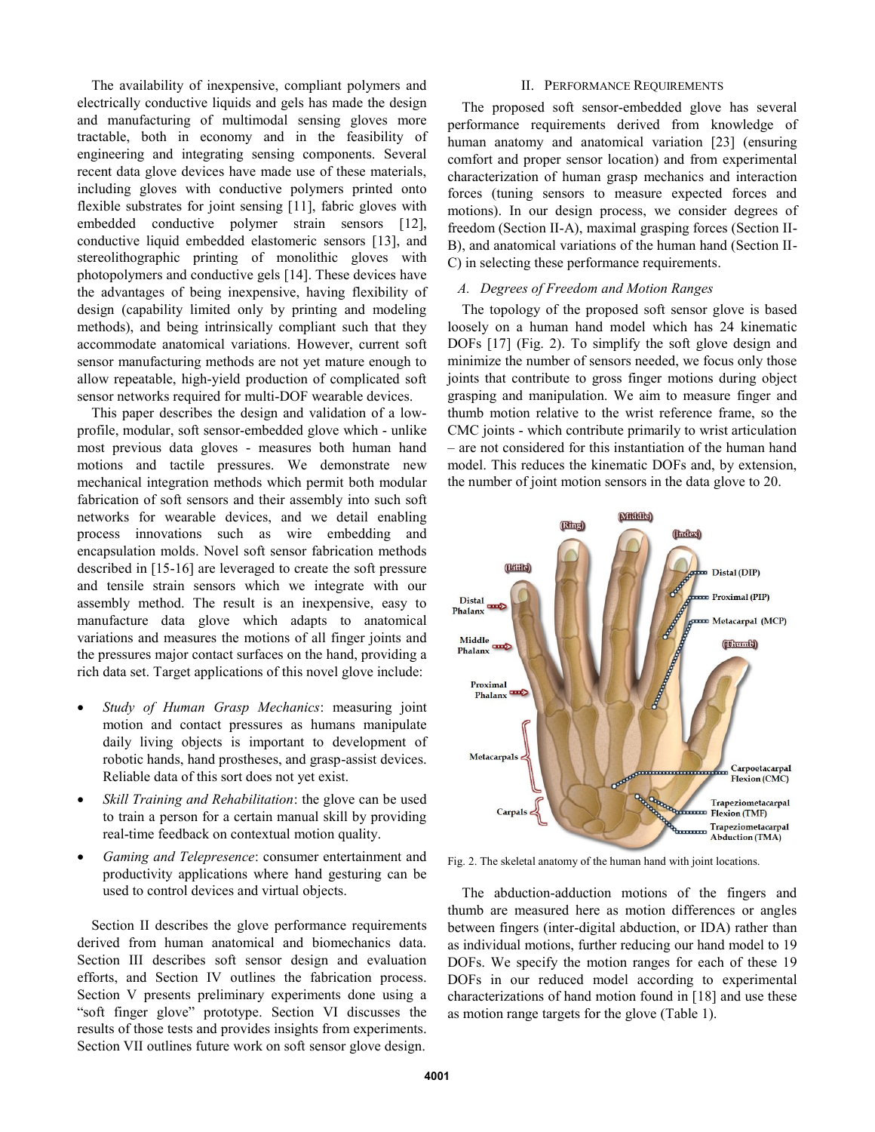The availability of inexpensive, compliant polymers and electrically conductive liquids and gels has made the design and manufacturing of multimodal sensing gloves more tractable, both in economy and in the feasibility of engineering and integrating sensing components. Several recent data glove devices have made use of these materials, including gloves with conductive polymers printed onto flexible substrates for joint sensing [11], fabric gloves with embedded conductive polymer strain sensors [12], conductive liquid embedded elastomeric sensors [13], and stereolithographic printing of monolithic gloves with photopolymers and conductive gels [14]. These devices have the advantages of being inexpensive, having flexibility of design (capability limited only by printing and modeling methods), and being intrinsically compliant such that they accommodate anatomical variations. However, current soft sensor manufacturing methods are not yet mature enough to allow repeatable, high-yield production of complicated soft sensor networks required for multi-DOF wearable devices.

This paper describes the design and validation of a lowprofile, modular, soft sensor-embedded glove which - unlike most previous data gloves - measures both human hand motions and tactile pressures. We demonstrate new mechanical integration methods which permit both modular fabrication of soft sensors and their assembly into such soft networks for wearable devices, and we detail enabling process innovations such as wire embedding and encapsulation molds. Novel soft sensor fabrication methods described in [15-16] are leveraged to create the soft pressure and tensile strain sensors which we integrate with our assembly method. The result is an inexpensive, easy to manufacture data glove which adapts to anatomical variations and measures the motions of all finger joints and the pressures major contact surfaces on the hand, providing a rich data set. Target applications of this novel glove include:

- *Study of Human Grasp Mechanics*: measuring joint motion and contact pressures as humans manipulate daily living objects is important to development of robotic hands, hand prostheses, and grasp-assist devices. Reliable data of this sort does not yet exist.
- *Skill Training and Rehabilitation*: the glove can be used to train a person for a certain manual skill by providing real-time feedback on contextual motion quality.
- *Gaming and Telepresence*: consumer entertainment and productivity applications where hand gesturing can be used to control devices and virtual objects.

Section II describes the glove performance requirements derived from human anatomical and biomechanics data. Section III describes soft sensor design and evaluation efforts, and Section IV outlines the fabrication process. Section V presents preliminary experiments done using a "soft finger glove" prototype. Section VI discusses the results of those tests and provides insights from experiments. Section VII outlines future work on soft sensor glove design.

#### II. PERFORMANCE REQUIREMENTS

The proposed soft sensor-embedded glove has several performance requirements derived from knowledge of human anatomy and anatomical variation [23] (ensuring comfort and proper sensor location) and from experimental characterization of human grasp mechanics and interaction forces (tuning sensors to measure expected forces and motions). In our design process, we consider degrees of freedom (Section II-A), maximal grasping forces (Section II-B), and anatomical variations of the human hand (Section II-C) in selecting these performance requirements.

## *A. Degrees of Freedom and Motion Ranges*

The topology of the proposed soft sensor glove is based loosely on a human hand model which has 24 kinematic DOFs [17] (Fig. 2). To simplify the soft glove design and minimize the number of sensors needed, we focus only those joints that contribute to gross finger motions during object grasping and manipulation. We aim to measure finger and thumb motion relative to the wrist reference frame, so the CMC joints - which contribute primarily to wrist articulation – are not considered for this instantiation of the human hand model. This reduces the kinematic DOFs and, by extension, the number of joint motion sensors in the data glove to 20.



Fig. 2. The skeletal anatomy of the human hand with joint locations.

The abduction-adduction motions of the fingers and thumb are measured here as motion differences or angles between fingers (inter-digital abduction, or IDA) rather than as individual motions, further reducing our hand model to 19 DOFs. We specify the motion ranges for each of these 19 DOFs in our reduced model according to experimental characterizations of hand motion found in [18] and use these as motion range targets for the glove (Table 1).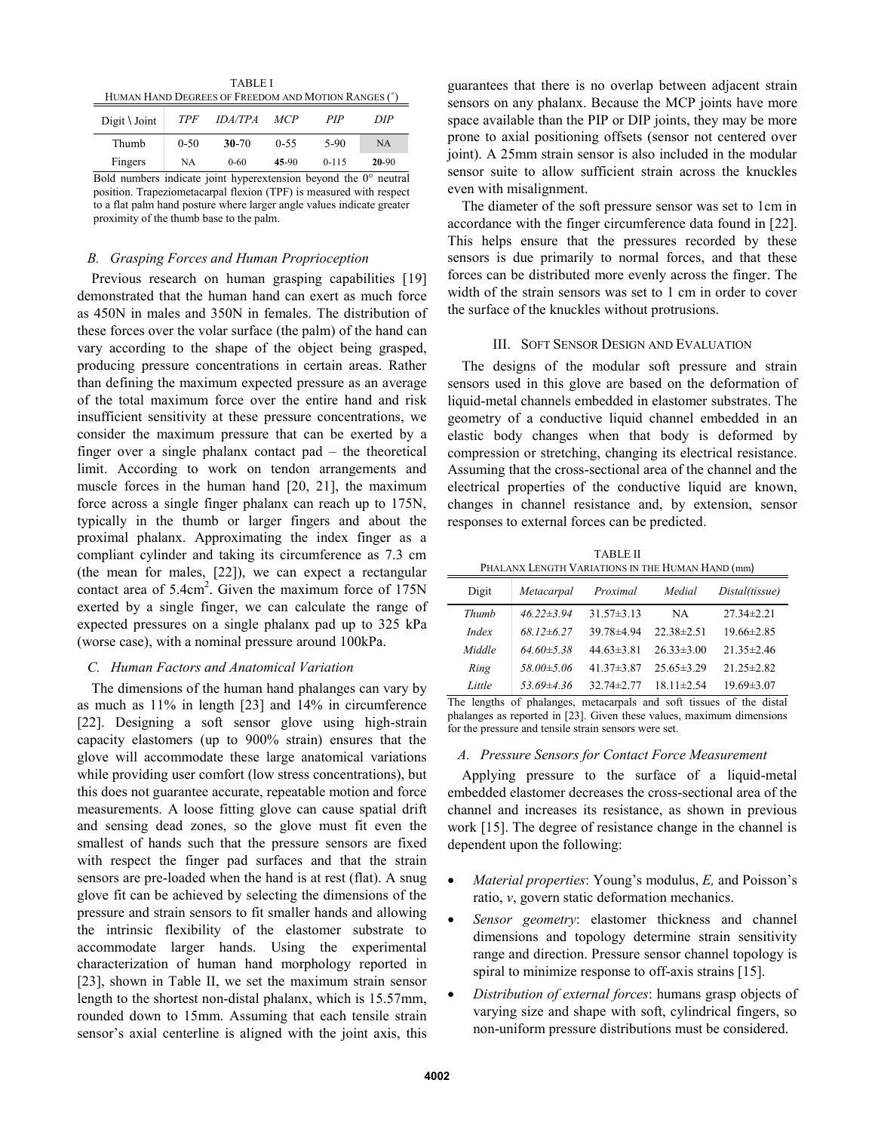TABLE I HUMAN HAND DEGREES OF FREEDOM AND MOTION RANGES (˚)

| Digit $\lambda$ Joint | <b>TPF</b> | <i><b>IDA/TPA</b></i> | МСР      | PIP       | DIP   |
|-----------------------|------------|-----------------------|----------|-----------|-------|
| Thumb                 | $0 - 50$   | $30-70$               | $0 - 55$ | 5-90      | NA    |
| Fingers               | NA         | $0 - 60$              | $45-90$  | $0 - 115$ | 20-90 |

Bold numbers indicate joint hyperextension beyond the 0° neutral position. Trapeziometacarpal flexion (TPF) is measured with respect to a flat palm hand posture where larger angle values indicate greater proximity of the thumb base to the palm.

## *B. Grasping Forces and Human Proprioception*

Previous research on human grasping capabilities [19] demonstrated that the human hand can exert as much force as 450N in males and 350N in females. The distribution of these forces over the volar surface (the palm) of the hand can vary according to the shape of the object being grasped, producing pressure concentrations in certain areas. Rather than defining the maximum expected pressure as an average of the total maximum force over the entire hand and risk insufficient sensitivity at these pressure concentrations, we consider the maximum pressure that can be exerted by a finger over a single phalanx contact pad – the theoretical limit. According to work on tendon arrangements and muscle forces in the human hand [20, 21], the maximum force across a single finger phalanx can reach up to 175N, typically in the thumb or larger fingers and about the proximal phalanx. Approximating the index finger as a compliant cylinder and taking its circumference as 7.3 cm (the mean for males, [22]), we can expect a rectangular contact area of  $5.4 \text{cm}^2$ . Given the maximum force of  $175 \text{N}$ exerted by a single finger, we can calculate the range of expected pressures on a single phalanx pad up to 325 kPa (worse case), with a nominal pressure around 100kPa.

### *C. Human Factors and Anatomical Variation*

The dimensions of the human hand phalanges can vary by as much as 11% in length [23] and 14% in circumference [22]. Designing a soft sensor glove using high-strain capacity elastomers (up to 900% strain) ensures that the glove will accommodate these large anatomical variations while providing user comfort (low stress concentrations), but this does not guarantee accurate, repeatable motion and force measurements. A loose fitting glove can cause spatial drift and sensing dead zones, so the glove must fit even the smallest of hands such that the pressure sensors are fixed with respect the finger pad surfaces and that the strain sensors are pre-loaded when the hand is at rest (flat). A snug glove fit can be achieved by selecting the dimensions of the pressure and strain sensors to fit smaller hands and allowing the intrinsic flexibility of the elastomer substrate to accommodate larger hands. Using the experimental characterization of human hand morphology reported in [23], shown in Table II, we set the maximum strain sensor length to the shortest non-distal phalanx, which is 15.57mm, rounded down to 15mm. Assuming that each tensile strain sensor's axial centerline is aligned with the joint axis, this

guarantees that there is no overlap between adjacent strain sensors on any phalanx. Because the MCP joints have more space available than the PIP or DIP joints, they may be more prone to axial positioning offsets (sensor not centered over joint). A 25mm strain sensor is also included in the modular sensor suite to allow sufficient strain across the knuckles even with misalignment.

The diameter of the soft pressure sensor was set to 1cm in accordance with the finger circumference data found in [22]. This helps ensure that the pressures recorded by these sensors is due primarily to normal forces, and that these forces can be distributed more evenly across the finger. The width of the strain sensors was set to 1 cm in order to cover the surface of the knuckles without protrusions.

## III. SOFT SENSOR DESIGN AND EVALUATION

The designs of the modular soft pressure and strain sensors used in this glove are based on the deformation of liquid-metal channels embedded in elastomer substrates. The geometry of a conductive liquid channel embedded in an elastic body changes when that body is deformed by compression or stretching, changing its electrical resistance. Assuming that the cross-sectional area of the channel and the electrical properties of the conductive liquid are known, changes in channel resistance and, by extension, sensor responses to external forces can be predicted.

TABLE II PHALANX LENGTH VARIATIONS IN THE HUMAN HAND (mm)

| Digit  | Metacarpal       | Proximal         | Medial           | Distal(tissue)   |
|--------|------------------|------------------|------------------|------------------|
| Thumb  | $46.22 \pm 3.94$ | $31.57\pm3.13$   | NΑ               | $27.34 \pm 2.21$ |
| Index  | $68.12\pm 6.27$  | 39.78 ± 4.94     | $22.38 \pm 2.51$ | $19.66 \pm 2.85$ |
| Middle | $64.60 \pm 5.38$ | $44.63\pm3.81$   | $26.33\pm3.00$   | $21.35 \pm 2.46$ |
| Ring   | $58.00 \pm 5.06$ | 41.37 $\pm$ 3.87 | $25.65\pm3.29$   | $21.25 \pm 2.82$ |
| Little | $53.69 \pm 4.36$ | $32.74 \pm 2.77$ | $18.11 \pm 2.54$ | $19.69 \pm 3.07$ |

The lengths of phalanges, metacarpals and soft tissues of the distal phalanges as reported in [23]. Given these values, maximum dimensions for the pressure and tensile strain sensors were set.

### *A. Pressure Sensors for Contact Force Measurement*

Applying pressure to the surface of a liquid-metal embedded elastomer decreases the cross-sectional area of the channel and increases its resistance, as shown in previous work [15]. The degree of resistance change in the channel is dependent upon the following:

- *Material properties*: Young's modulus, *E,* and Poisson's ratio, *ν*, govern static deformation mechanics.
- *Sensor geometry*: elastomer thickness and channel dimensions and topology determine strain sensitivity range and direction. Pressure sensor channel topology is spiral to minimize response to off-axis strains [15].
- *Distribution of external forces*: humans grasp objects of varying size and shape with soft, cylindrical fingers, so non-uniform pressure distributions must be considered.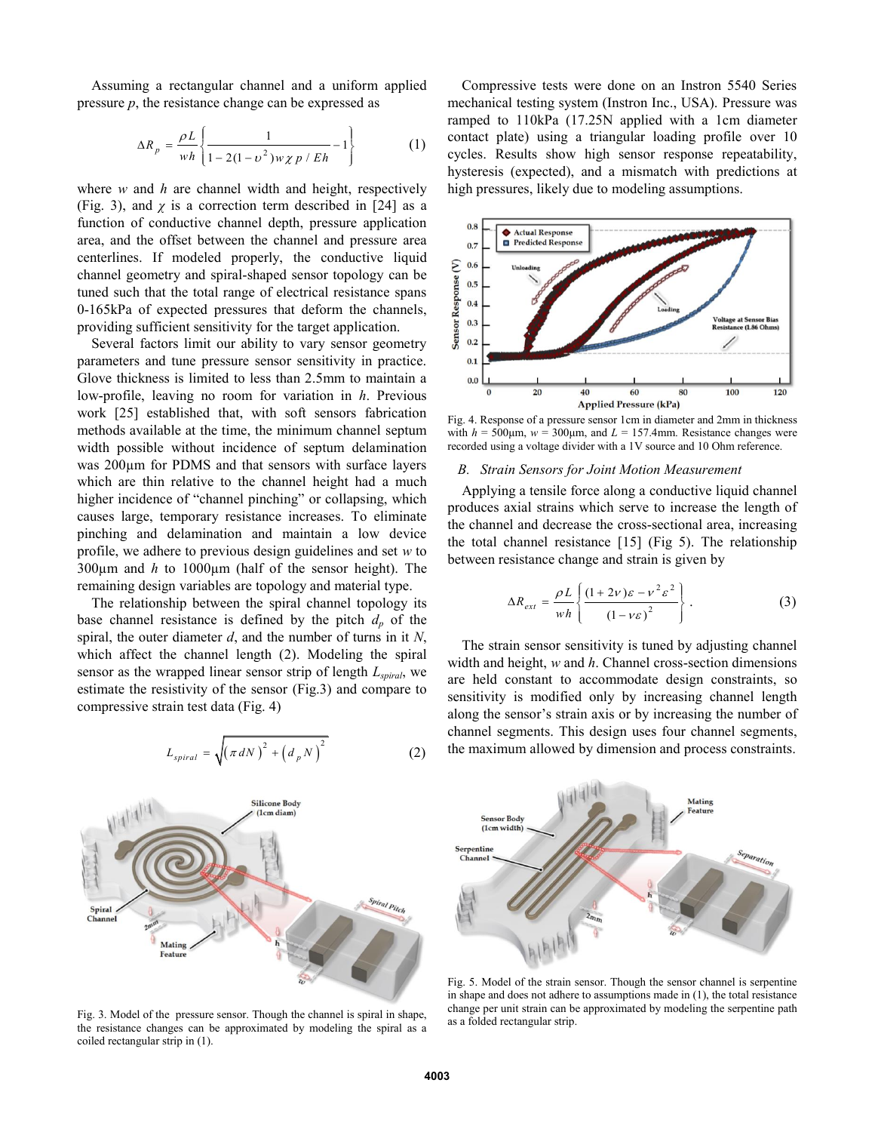Assuming a rectangular channel and a uniform applied pressure *p*, the resistance change can be expressed as

$$
\Delta R_p = \frac{\rho L}{wh} \left\{ \frac{1}{1 - 2(1 - v^2)w\chi p / Eh} - 1 \right\}
$$
 (1)

where *w* and *h* are channel width and height, respectively (Fig. 3), and  $\chi$  is a correction term described in [24] as a function of conductive channel depth, pressure application area, and the offset between the channel and pressure area centerlines. If modeled properly, the conductive liquid channel geometry and spiral-shaped sensor topology can be tuned such that the total range of electrical resistance spans 0-165kPa of expected pressures that deform the channels, providing sufficient sensitivity for the target application.

Several factors limit our ability to vary sensor geometry parameters and tune pressure sensor sensitivity in practice. Glove thickness is limited to less than 2.5mm to maintain a low-profile, leaving no room for variation in *h*. Previous work [25] established that, with soft sensors fabrication methods available at the time, the minimum channel septum width possible without incidence of septum delamination was 200 $\mu$ m for PDMS and that sensors with surface layers which are thin relative to the channel height had a much higher incidence of "channel pinching" or collapsing, which causes large, temporary resistance increases. To eliminate pinching and delamination and maintain a low device profile, we adhere to previous design guidelines and set *w* to 300µm and *h* to 1000µm (half of the sensor height). The remaining design variables are topology and material type.

The relationship between the spiral channel topology its base channel resistance is defined by the pitch  $d_p$  of the spiral, the outer diameter *d*, and the number of turns in it *N*, which affect the channel length (2). Modeling the spiral sensor as the wrapped linear sensor strip of length *Lspiral*, we estimate the resistivity of the sensor (Fig.3) and compare to compressive strain test data (Fig. 4)

$$
L_{spiral} = \sqrt{\left(\pi \, dN\right)^2 + \left(d_p \, N\right)^2} \tag{2}
$$



Fig. 3. Model of the pressure sensor. Though the channel is spiral in shape, the resistance changes can be approximated by modeling the spiral as a coiled rectangular strip in (1).

Compressive tests were done on an Instron 5540 Series mechanical testing system (Instron Inc., USA). Pressure was ramped to 110kPa (17.25N applied with a 1cm diameter contact plate) using a triangular loading profile over 10 cycles. Results show high sensor response repeatability, hysteresis (expected), and a mismatch with predictions at high pressures, likely due to modeling assumptions.



Fig. 4. Response of a pressure sensor 1cm in diameter and 2mm in thickness with  $h = 500 \mu m$ ,  $w = 300 \mu m$ , and  $L = 157.4 \mu m$ . Resistance changes were recorded using a voltage divider with a 1V source and 10 Ohm reference.

#### *B. Strain Sensors for Joint Motion Measurement*

Applying a tensile force along a conductive liquid channel produces axial strains which serve to increase the length of the channel and decrease the cross-sectional area, increasing the total channel resistance [15] (Fig 5). The relationship between resistance change and strain is given by

$$
\Delta R_{ext} = \frac{\rho L}{wh} \left\{ \frac{\left(1 + 2v\right)\varepsilon - v^2 \varepsilon^2}{\left(1 - v\varepsilon\right)^2} \right\}.
$$
 (3)

The strain sensor sensitivity is tuned by adjusting channel width and height, *w* and *h*. Channel cross-section dimensions are held constant to accommodate design constraints, so sensitivity is modified only by increasing channel length along the sensor's strain axis or by increasing the number of channel segments. This design uses four channel segments, the maximum allowed by dimension and process constraints.



Fig. 5. Model of the strain sensor. Though the sensor channel is serpentine in shape and does not adhere to assumptions made in (1), the total resistance change per unit strain can be approximated by modeling the serpentine path as a folded rectangular strip.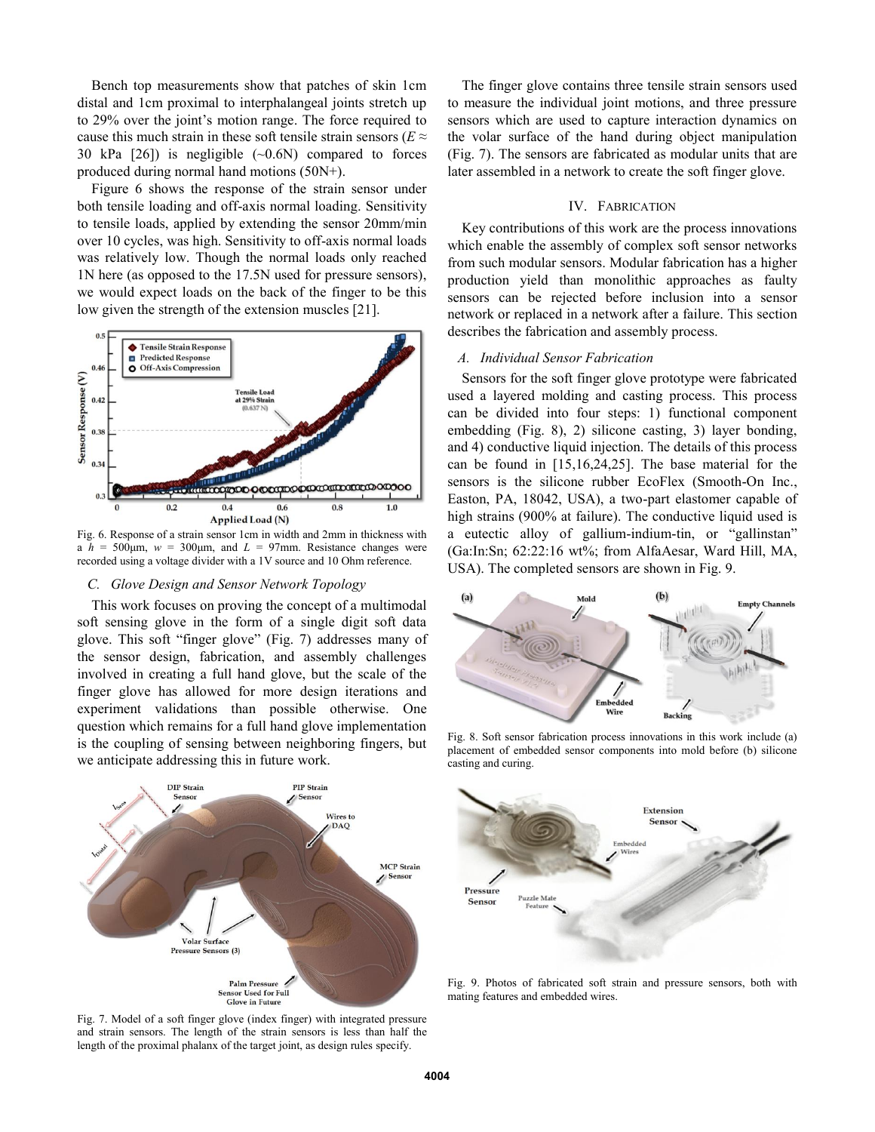Bench top measurements show that patches of skin 1cm distal and 1cm proximal to interphalangeal joints stretch up to 29% over the joint's motion range. The force required to cause this much strain in these soft tensile strain sensors ( $E \approx$ 30 kPa  $[26]$ ) is negligible  $(\sim 0.6$ N) compared to forces produced during normal hand motions (50N+).

Figure 6 shows the response of the strain sensor under both tensile loading and off-axis normal loading. Sensitivity to tensile loads, applied by extending the sensor 20mm/min over 10 cycles, was high. Sensitivity to off-axis normal loads was relatively low. Though the normal loads only reached 1N here (as opposed to the 17.5N used for pressure sensors), we would expect loads on the back of the finger to be this low given the strength of the extension muscles [21].



Fig. 6. Response of a strain sensor 1cm in width and 2mm in thickness with a  $h = 500 \mu m$ ,  $w = 300 \mu m$ , and  $L = 97 \mu m$ . Resistance changes were recorded using a voltage divider with a 1V source and 10 Ohm reference.

## *C. Glove Design and Sensor Network Topology*

This work focuses on proving the concept of a multimodal soft sensing glove in the form of a single digit soft data glove. This soft "finger glove" (Fig. 7) addresses many of the sensor design, fabrication, and assembly challenges involved in creating a full hand glove, but the scale of the finger glove has allowed for more design iterations and experiment validations than possible otherwise. One question which remains for a full hand glove implementation is the coupling of sensing between neighboring fingers, but we anticipate addressing this in future work.



Fig. 7. Model of a soft finger glove (index finger) with integrated pressure and strain sensors. The length of the strain sensors is less than half the length of the proximal phalanx of the target joint, as design rules specify.

The finger glove contains three tensile strain sensors used to measure the individual joint motions, and three pressure sensors which are used to capture interaction dynamics on the volar surface of the hand during object manipulation (Fig. 7). The sensors are fabricated as modular units that are later assembled in a network to create the soft finger glove.

#### IV. FABRICATION

Key contributions of this work are the process innovations which enable the assembly of complex soft sensor networks from such modular sensors. Modular fabrication has a higher production yield than monolithic approaches as faulty sensors can be rejected before inclusion into a sensor network or replaced in a network after a failure. This section describes the fabrication and assembly process.

#### *A. Individual Sensor Fabrication*

Sensors for the soft finger glove prototype were fabricated used a layered molding and casting process. This process can be divided into four steps: 1) functional component embedding (Fig. 8), 2) silicone casting, 3) layer bonding, and 4) conductive liquid injection. The details of this process can be found in [15,16,24,25]. The base material for the sensors is the silicone rubber EcoFlex (Smooth-On Inc., Easton, PA, 18042, USA), a two-part elastomer capable of high strains (900% at failure). The conductive liquid used is a eutectic alloy of gallium-indium-tin, or "gallinstan" (Ga:In:Sn; 62:22:16 wt%; from AlfaAesar, Ward Hill, MA, USA). The completed sensors are shown in Fig. 9.



Fig. 8. Soft sensor fabrication process innovations in this work include (a) placement of embedded sensor components into mold before (b) silicone casting and curing.



Fig. 9. Photos of fabricated soft strain and pressure sensors, both with mating features and embedded wires.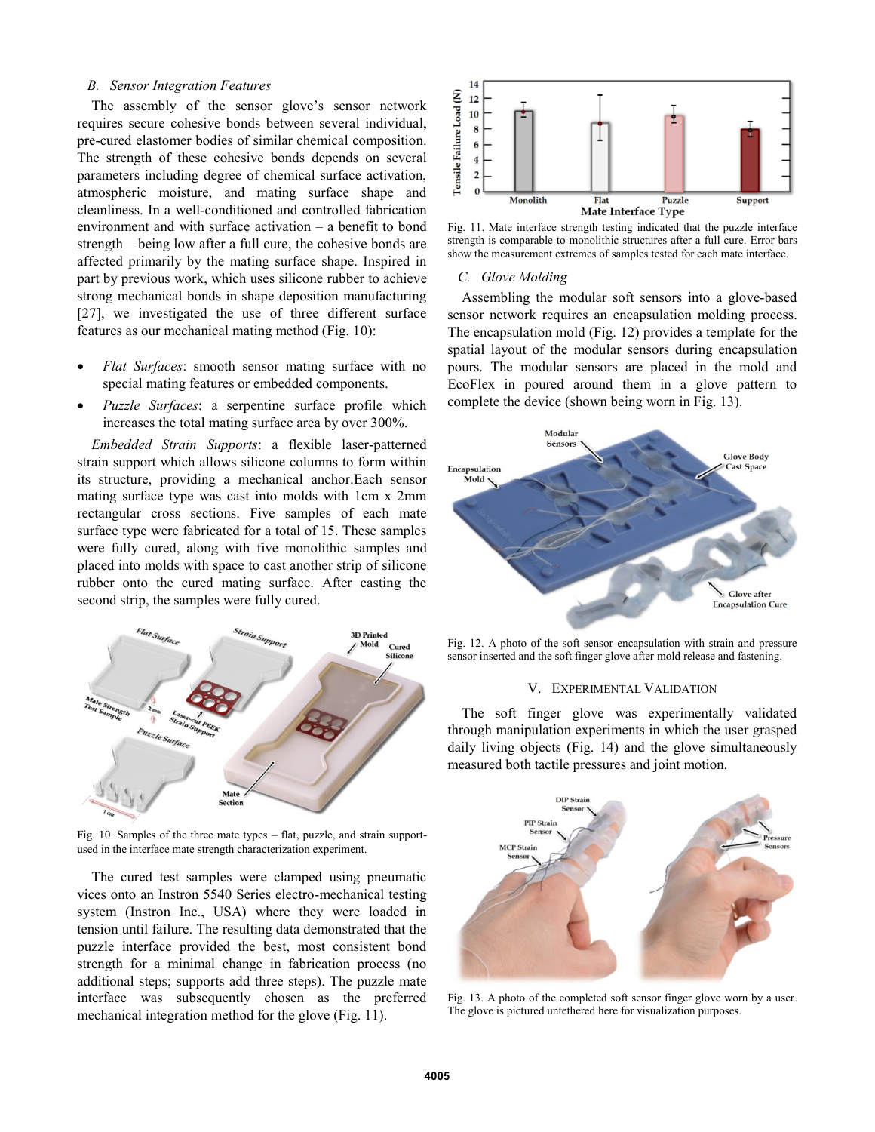## *B. Sensor Integration Features*

The assembly of the sensor glove's sensor network requires secure cohesive bonds between several individual, pre-cured elastomer bodies of similar chemical composition. The strength of these cohesive bonds depends on several parameters including degree of chemical surface activation, atmospheric moisture, and mating surface shape and cleanliness. In a well-conditioned and controlled fabrication environment and with surface activation – a benefit to bond strength – being low after a full cure, the cohesive bonds are affected primarily by the mating surface shape. Inspired in part by previous work, which uses silicone rubber to achieve strong mechanical bonds in shape deposition manufacturing [27], we investigated the use of three different surface features as our mechanical mating method (Fig. 10):

- *Flat Surfaces*: smooth sensor mating surface with no special mating features or embedded components.
- *Puzzle Surfaces*: a serpentine surface profile which increases the total mating surface area by over 300%.

*Embedded Strain Supports*: a flexible laser-patterned strain support which allows silicone columns to form within its structure, providing a mechanical anchor.Each sensor mating surface type was cast into molds with 1cm x 2mm rectangular cross sections. Five samples of each mate surface type were fabricated for a total of 15. These samples were fully cured, along with five monolithic samples and placed into molds with space to cast another strip of silicone rubber onto the cured mating surface. After casting the second strip, the samples were fully cured.



Fig. 10. Samples of the three mate types – flat, puzzle, and strain supportused in the interface mate strength characterization experiment.

The cured test samples were clamped using pneumatic vices onto an Instron 5540 Series electro-mechanical testing system (Instron Inc., USA) where they were loaded in tension until failure. The resulting data demonstrated that the puzzle interface provided the best, most consistent bond strength for a minimal change in fabrication process (no additional steps; supports add three steps). The puzzle mate interface was subsequently chosen as the preferred mechanical integration method for the glove (Fig. 11).





#### *C. Glove Molding*

Assembling the modular soft sensors into a glove-based sensor network requires an encapsulation molding process. The encapsulation mold (Fig. 12) provides a template for the spatial layout of the modular sensors during encapsulation pours. The modular sensors are placed in the mold and EcoFlex in poured around them in a glove pattern to complete the device (shown being worn in Fig. 13).



Fig. 12. A photo of the soft sensor encapsulation with strain and pressure sensor inserted and the soft finger glove after mold release and fastening.

#### V. EXPERIMENTAL VALIDATION

The soft finger glove was experimentally validated through manipulation experiments in which the user grasped daily living objects (Fig. 14) and the glove simultaneously measured both tactile pressures and joint motion.



Fig. 13. A photo of the completed soft sensor finger glove worn by a user. The glove is pictured untethered here for visualization purposes.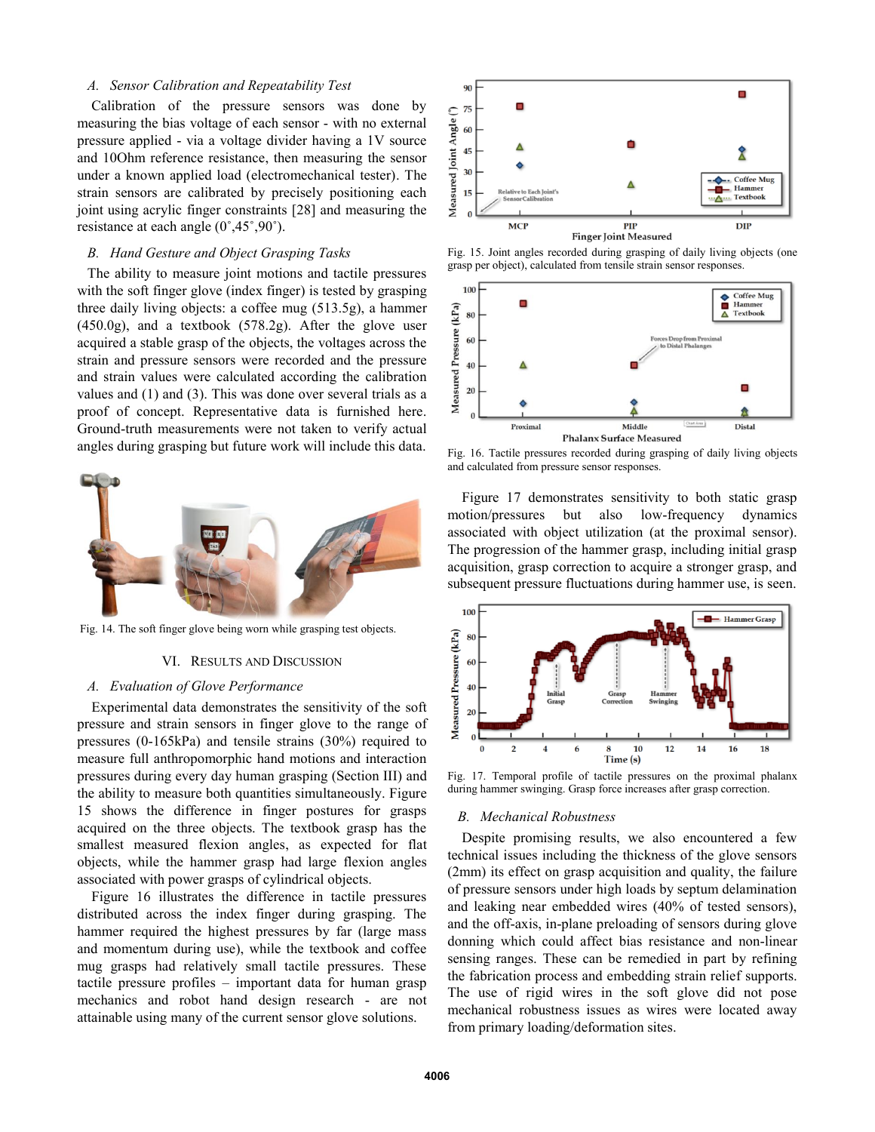## *A. Sensor Calibration and Repeatability Test*

Calibration of the pressure sensors was done by measuring the bias voltage of each sensor - with no external pressure applied - via a voltage divider having a 1V source and 10Ohm reference resistance, then measuring the sensor under a known applied load (electromechanical tester). The strain sensors are calibrated by precisely positioning each joint using acrylic finger constraints [28] and measuring the resistance at each angle (0˚,45˚,90˚).

## *B. Hand Gesture and Object Grasping Tasks*

The ability to measure joint motions and tactile pressures with the soft finger glove (index finger) is tested by grasping three daily living objects: a coffee mug (513.5g), a hammer (450.0g), and a textbook (578.2g). After the glove user acquired a stable grasp of the objects, the voltages across the strain and pressure sensors were recorded and the pressure and strain values were calculated according the calibration values and (1) and (3). This was done over several trials as a proof of concept. Representative data is furnished here. Ground-truth measurements were not taken to verify actual angles during grasping but future work will include this data.



Fig. 14. The soft finger glove being worn while grasping test objects.

#### VI. RESULTS AND DISCUSSION

## *A. Evaluation of Glove Performance*

Experimental data demonstrates the sensitivity of the soft pressure and strain sensors in finger glove to the range of pressures (0-165kPa) and tensile strains (30%) required to measure full anthropomorphic hand motions and interaction pressures during every day human grasping (Section III) and the ability to measure both quantities simultaneously. Figure 15 shows the difference in finger postures for grasps acquired on the three objects. The textbook grasp has the smallest measured flexion angles, as expected for flat objects, while the hammer grasp had large flexion angles associated with power grasps of cylindrical objects.

Figure 16 illustrates the difference in tactile pressures distributed across the index finger during grasping. The hammer required the highest pressures by far (large mass and momentum during use), while the textbook and coffee mug grasps had relatively small tactile pressures. These tactile pressure profiles – important data for human grasp mechanics and robot hand design research - are not attainable using many of the current sensor glove solutions.



Fig. 15. Joint angles recorded during grasping of daily living objects (one grasp per object), calculated from tensile strain sensor responses.



Fig. 16. Tactile pressures recorded during grasping of daily living objects and calculated from pressure sensor responses.

Figure 17 demonstrates sensitivity to both static grasp motion/pressures but also low-frequency dynamics associated with object utilization (at the proximal sensor). The progression of the hammer grasp, including initial grasp acquisition, grasp correction to acquire a stronger grasp, and subsequent pressure fluctuations during hammer use, is seen.



Fig. 17. Temporal profile of tactile pressures on the proximal phalanx during hammer swinging. Grasp force increases after grasp correction.

#### *B. Mechanical Robustness*

Despite promising results, we also encountered a few technical issues including the thickness of the glove sensors (2mm) its effect on grasp acquisition and quality, the failure of pressure sensors under high loads by septum delamination and leaking near embedded wires (40% of tested sensors), and the off-axis, in-plane preloading of sensors during glove donning which could affect bias resistance and non-linear sensing ranges. These can be remedied in part by refining the fabrication process and embedding strain relief supports. The use of rigid wires in the soft glove did not pose mechanical robustness issues as wires were located away from primary loading/deformation sites.